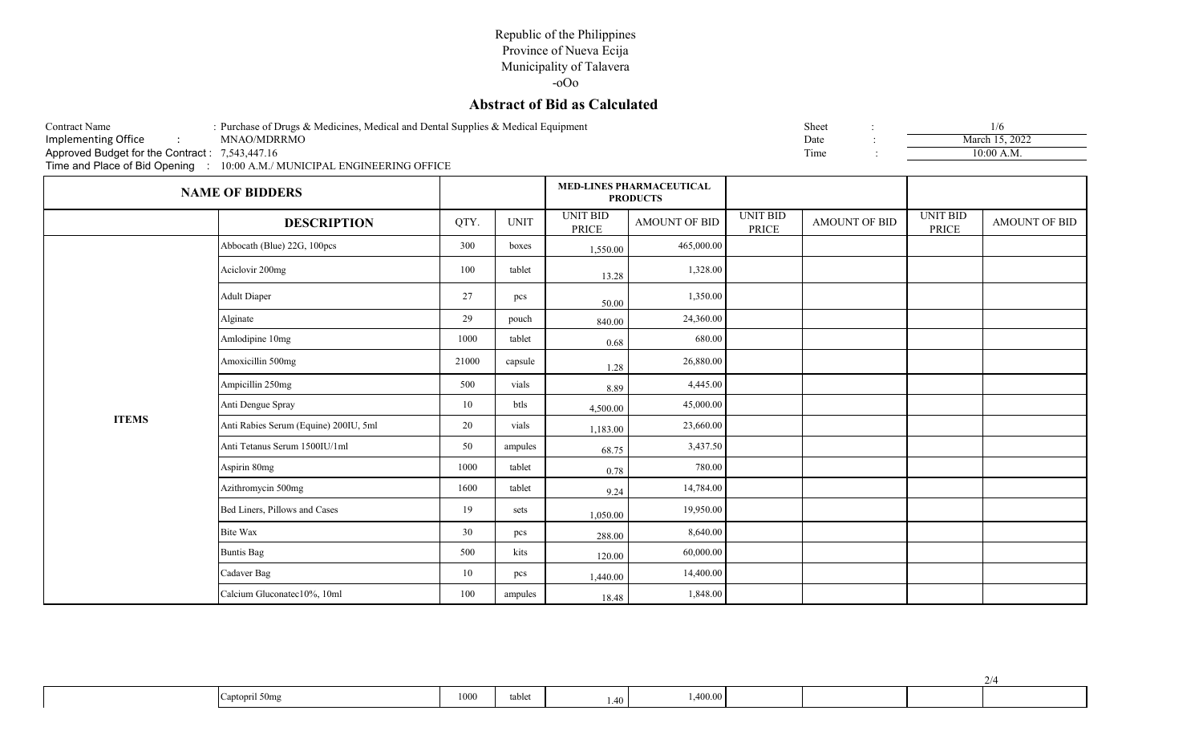## Republic of the Philippines Province of Nueva Ecija Municipality of Talavera

-oOo

## **Abstract of Bid as Calculated**

| : Purchase of Drugs & Medicines, Medical and Dental Supplies & Medical Equipment<br><b>Contract Name</b><br>Implementing Office<br>$\sim 100$<br>Approved Budget for the Contract: 7,543,447.16<br>Time and Place of Bid Opening : 10:00 A.M./ MUNICIPAL ENGINEERING OFFICE |                             | Sheet<br>Date<br>Time |             | 1/6<br>March 15, 2022<br>$10:00$ A.M.              |               |                                 |               |                          |                      |
|-----------------------------------------------------------------------------------------------------------------------------------------------------------------------------------------------------------------------------------------------------------------------------|-----------------------------|-----------------------|-------------|----------------------------------------------------|---------------|---------------------------------|---------------|--------------------------|----------------------|
|                                                                                                                                                                                                                                                                             | <b>NAME OF BIDDERS</b>      |                       |             | <b>MED-LINES PHARMACEUTICAL</b><br><b>PRODUCTS</b> |               |                                 |               |                          |                      |
|                                                                                                                                                                                                                                                                             | <b>DESCRIPTION</b>          | QTY.                  | <b>UNIT</b> | <b>UNIT BID</b><br>PRICE                           | AMOUNT OF BID | <b>UNIT BID</b><br><b>PRICE</b> | AMOUNT OF BID | <b>UNIT BID</b><br>PRICE | <b>AMOUNT OF BID</b> |
|                                                                                                                                                                                                                                                                             | Abbocath (Blue) 22G, 100pcs | 300                   | boxes       | 1,550.00                                           | 465,000.00    |                                 |               |                          |                      |
|                                                                                                                                                                                                                                                                             | Aciclovir 200mg             | 100                   | tablet      | 13.28                                              | 1,328.00      |                                 |               |                          |                      |
|                                                                                                                                                                                                                                                                             | <b>Adult Diaper</b>         | 27                    | pcs         | 50.00                                              | 1,350.00      |                                 |               |                          |                      |
|                                                                                                                                                                                                                                                                             | Alginate                    | pouch                 | 840.00      | 24,360.00                                          |               |                                 |               |                          |                      |

|              | Amlodipine 10mg                       | 1000  | tablet  | 0.68     | 680.00    |  |  |
|--------------|---------------------------------------|-------|---------|----------|-----------|--|--|
|              | Amoxicillin 500mg                     | 21000 | capsule | 1.28     | 26,880.00 |  |  |
|              | Ampicillin 250mg                      | 500   | vials   | 8.89     | 4,445.00  |  |  |
|              | Anti Dengue Spray                     | 10    | btls    | 4,500.00 | 45,000.00 |  |  |
| <b>ITEMS</b> | Anti Rabies Serum (Equine) 200IU, 5ml | 20    | vials   | 1,183.00 | 23,660.00 |  |  |
|              | Anti Tetanus Serum 1500IU/1ml         | 50    | ampules | 68.75    | 3,437.50  |  |  |
|              | Aspirin 80mg                          | 1000  | tablet  | 0.78     | 780.00    |  |  |
|              | Azithromycin 500mg                    | 1600  | tablet  | 9.24     | 14,784.00 |  |  |
|              | Bed Liners, Pillows and Cases         | 19    | sets    | 1,050.00 | 19,950.00 |  |  |
|              | Bite Wax                              | 30    | pcs     | 288.00   | 8,640.00  |  |  |
|              | <b>Buntis Bag</b>                     | 500   | kits    | 120.00   | 60,000.00 |  |  |
|              | Cadaver Bag                           | 10    | pcs     | 1,440.00 | 14,400.00 |  |  |
|              | Calcium Gluconatec10%, 10ml           | 100   | ampules | 18.48    | 1,848.00  |  |  |

| Captopril 50mg | 1000 | tablet | $1.40 -$ | 1,400.00 |  |  |
|----------------|------|--------|----------|----------|--|--|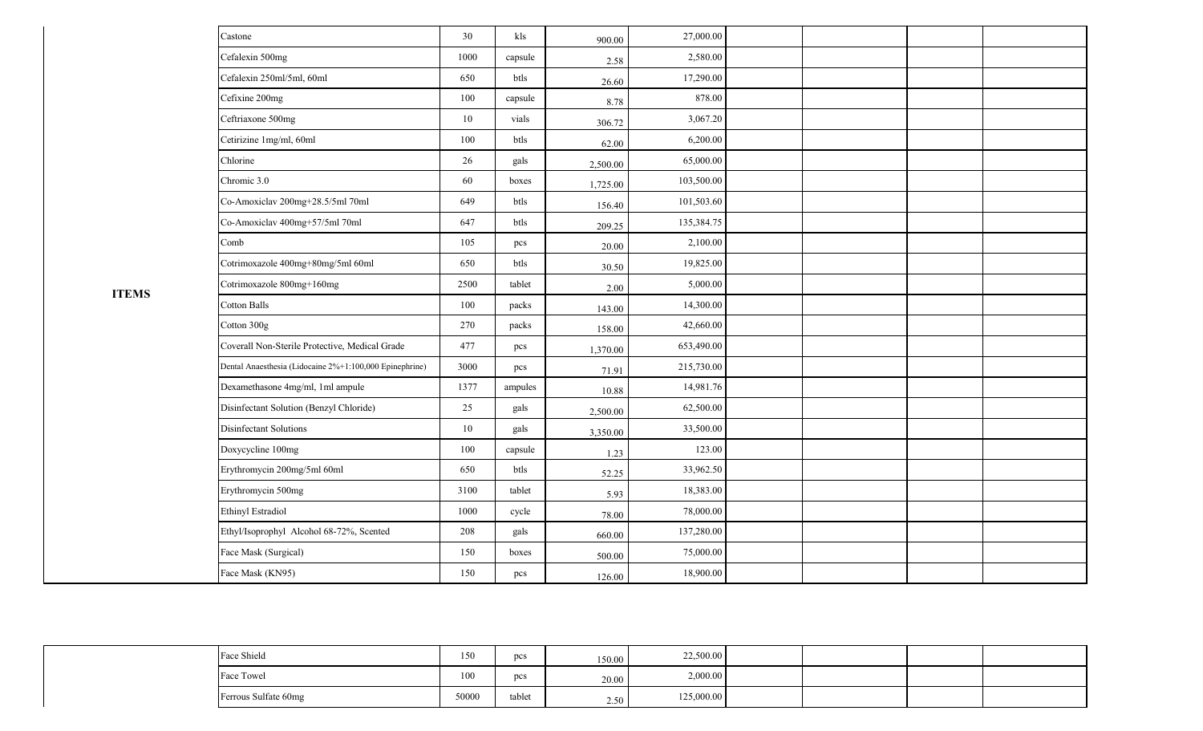| Castone                                                 | 30     | kls     | 900.00   | 27,000.00  |  |  |
|---------------------------------------------------------|--------|---------|----------|------------|--|--|
| Cefalexin 500mg                                         | 1000   | capsule | 2.58     | 2,580.00   |  |  |
| Cefalexin 250ml/5ml, 60ml                               | 650    | btls    | 26.60    | 17,290.00  |  |  |
| Cefixine 200mg                                          | 100    | capsule | 8.78     | 878.00     |  |  |
| Ceftriaxone 500mg                                       | $10\,$ | vials   | 306.72   | 3,067.20   |  |  |
| Cetirizine 1mg/ml, 60ml                                 | 100    | btls    | 62.00    | 6,200.00   |  |  |
| Chlorine                                                | 26     | gals    | 2,500.00 | 65,000.00  |  |  |
| Chromic 3.0                                             | 60     | boxes   | 1,725.00 | 103,500.00 |  |  |
| Co-Amoxiclav 200mg+28.5/5ml 70ml                        | 649    | btls    | 156.40   | 101,503.60 |  |  |
| Co-Amoxiclav 400mg+57/5ml 70ml                          | 647    | btls    | 209.25   | 135,384.75 |  |  |
| Comb                                                    | 105    | pcs     | 20.00    | 2,100.00   |  |  |
| Cotrimoxazole 400mg+80mg/5ml 60ml                       | 650    | btls    | 30.50    | 19,825.00  |  |  |
| Cotrimoxazole 800mg+160mg                               | 2500   | tablet  | 2.00     | 5,000.00   |  |  |
| <b>Cotton Balls</b>                                     | 100    | packs   | 143.00   | 14,300.00  |  |  |
| Cotton 300g                                             | 270    | packs   | 158.00   | 42,660.00  |  |  |
| Coverall Non-Sterile Protective, Medical Grade          | 477    | pcs     | 1,370.00 | 653,490.00 |  |  |
| Dental Anaesthesia (Lidocaine 2%+1:100,000 Epinephrine) | 3000   | pcs     | 71.91    | 215,730.00 |  |  |
| Dexamethasone 4mg/ml, 1ml ampule                        | 1377   | ampules | 10.88    | 14,981.76  |  |  |
| Disinfectant Solution (Benzyl Chloride)                 | 25     | gals    | 2,500.00 | 62,500.00  |  |  |
| Disinfectant Solutions                                  | 10     | gals    | 3,350.00 | 33,500.00  |  |  |
| Doxycycline 100mg                                       | 100    | capsule | 1.23     | 123.00     |  |  |
| Erythromycin 200mg/5ml 60ml                             | 650    | btls    | 52.25    | 33,962.50  |  |  |
| Erythromycin 500mg                                      | 3100   | tablet  | 5.93     | 18,383.00  |  |  |
| <b>Ethinyl Estradiol</b>                                | 1000   | cycle   | 78.00    | 78,000.00  |  |  |
| Ethyl/Isoprophyl Alcohol 68-72%, Scented                | 208    | gals    | 660.00   | 137,280.00 |  |  |
| Face Mask (Surgical)                                    | 150    | boxes   | 500.00   | 75,000.00  |  |  |
| Face Mask (KN95)                                        | 150    | pcs     | 126.00   | 18,900.00  |  |  |

| Face Shield          | 150   | pcs             | 150.00 | 22,500.00  |  |  |
|----------------------|-------|-----------------|--------|------------|--|--|
| Face Towel           | 100   | $_{\text{pcs}}$ | 20.00  | 2,000.00   |  |  |
| Ferrous Sulfate 60mg | 50000 | tablet          | 2.50   | 125,000.00 |  |  |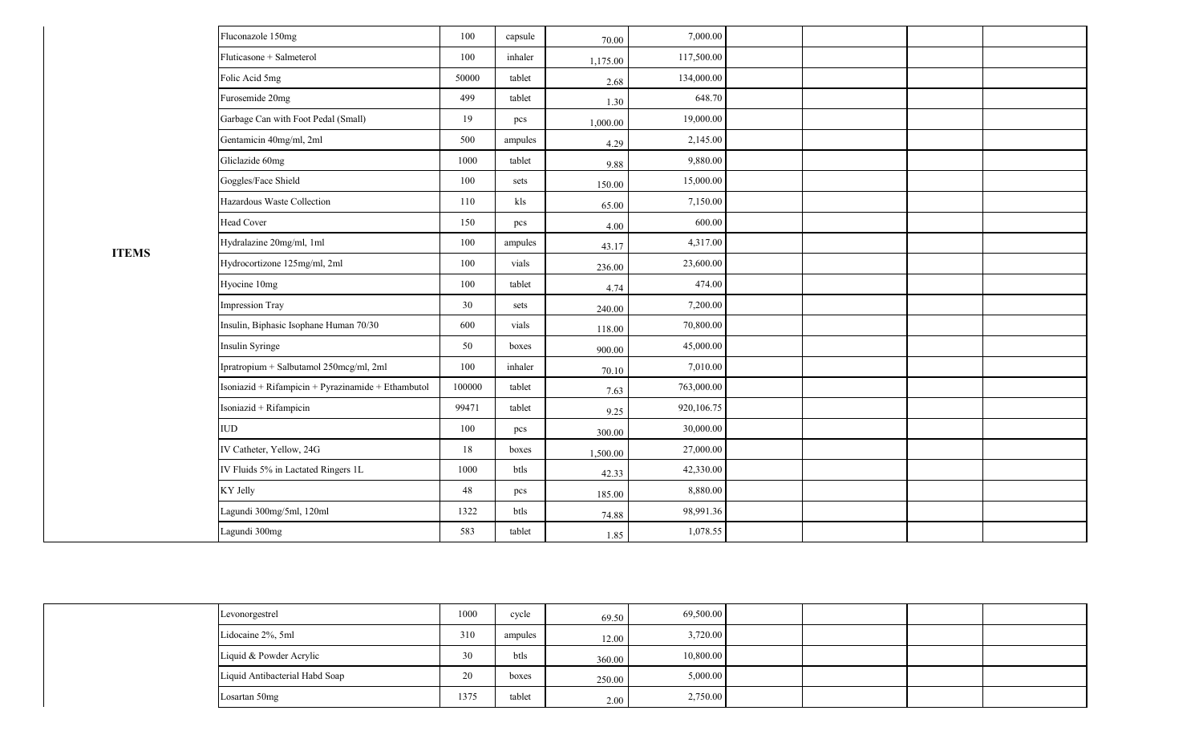| Fluconazole 150mg                                  | 100    | capsule | 70.00    | 7,000.00   |  |  |
|----------------------------------------------------|--------|---------|----------|------------|--|--|
| Fluticasone + Salmeterol                           | 100    | inhaler | 1,175.00 | 117,500.00 |  |  |
| Folic Acid 5mg                                     | 50000  | tablet  | 2.68     | 134,000.00 |  |  |
| Furosemide 20mg                                    | 499    | tablet  | 1.30     | 648.70     |  |  |
| Garbage Can with Foot Pedal (Small)                | 19     | pcs     | 1,000.00 | 19,000.00  |  |  |
| Gentamicin 40mg/ml, 2ml                            | 500    | ampules | 4.29     | 2,145.00   |  |  |
| Gliclazide 60mg                                    | 1000   | tablet  | 9.88     | 9,880.00   |  |  |
| Goggles/Face Shield                                | 100    | sets    | 150.00   | 15,000.00  |  |  |
| Hazardous Waste Collection                         | 110    | kls     | 65.00    | 7,150.00   |  |  |
| <b>Head Cover</b>                                  | 150    | pcs     | 4.00     | 600.00     |  |  |
| Hydralazine 20mg/ml, 1ml                           | 100    | ampules | 43.17    | 4,317.00   |  |  |
| Hydrocortizone 125mg/ml, 2ml                       | 100    | vials   | 236.00   | 23,600.00  |  |  |
| Hyocine 10mg                                       | 100    | tablet  | 4.74     | 474.00     |  |  |
| <b>Impression Tray</b>                             | 30     | sets    | 240.00   | 7,200.00   |  |  |
| Insulin, Biphasic Isophane Human 70/30             | 600    | vials   | 118.00   | 70,800.00  |  |  |
| Insulin Syringe                                    | 50     | boxes   | 900.00   | 45,000.00  |  |  |
| Ipratropium + Salbutamol 250mcg/ml, 2ml            | 100    | inhaler | 70.10    | 7,010.00   |  |  |
| Isoniazid + Rifampicin + Pyrazinamide + Ethambutol | 100000 | tablet  | 7.63     | 763,000.00 |  |  |
| Isoniazid + Rifampicin                             | 99471  | tablet  | 9.25     | 920,106.75 |  |  |
| ${\rm IUD}$                                        | 100    | pcs     | 300.00   | 30,000.00  |  |  |
| IV Catheter, Yellow, 24G                           | 18     | boxes   | 1,500.00 | 27,000.00  |  |  |
| IV Fluids 5% in Lactated Ringers 1L                | 1000   | btls    | 42.33    | 42,330.00  |  |  |
| KY Jelly                                           | 48     | pcs     | 185.00   | 8,880.00   |  |  |
| Lagundi 300mg/5ml, 120ml                           | 1322   | btls    | 74.88    | 98,991.36  |  |  |
| Lagundi 300mg                                      | 583    | tablet  | 1.85     | 1,078.55   |  |  |

| Levonorgestrel                 | 1000 | cycle   | 69.50  | 69,500.00 |  |  |
|--------------------------------|------|---------|--------|-----------|--|--|
| Lidocaine 2%, 5ml              | 310  | ampules | 12.00  | 3,720.00  |  |  |
| Liquid & Powder Acrylic        | 30   | btls    | 360.00 | 10,800.00 |  |  |
| Liquid Antibacterial Habd Soap | 20   | boxes   | 250.00 | 5,000.00  |  |  |
| Losartan 50mg                  | 1375 | tablet  | 2.00   | 2,750.00  |  |  |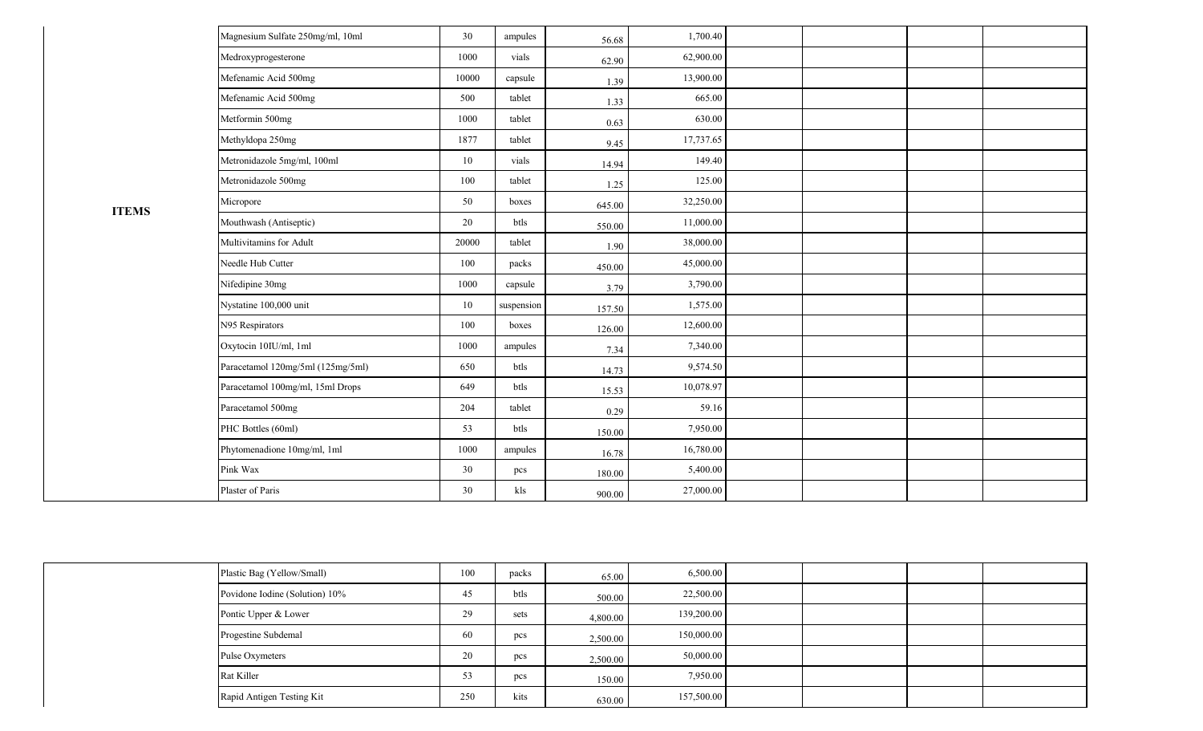| Magnesium Sulfate 250mg/ml, 10ml  | 30    | ampules    | 56.68  | 1,700.40  |  |  |
|-----------------------------------|-------|------------|--------|-----------|--|--|
| Medroxyprogesterone               | 1000  | vials      | 62.90  | 62,900.00 |  |  |
| Mefenamic Acid 500mg              | 10000 | capsule    | 1.39   | 13,900.00 |  |  |
| Mefenamic Acid 500mg              | 500   | tablet     | 1.33   | 665.00    |  |  |
| Metformin 500mg                   | 1000  | tablet     | 0.63   | 630.00    |  |  |
| Methyldopa 250mg                  | 1877  | tablet     | 9.45   | 17,737.65 |  |  |
| Metronidazole 5mg/ml, 100ml       | 10    | vials      | 14.94  | 149.40    |  |  |
| Metronidazole 500mg               | 100   | tablet     | 1.25   | 125.00    |  |  |
| Micropore                         | 50    | boxes      | 645.00 | 32,250.00 |  |  |
| Mouthwash (Antiseptic)            | 20    | btls       | 550.00 | 11,000.00 |  |  |
| Multivitamins for Adult           | 20000 | tablet     | 1.90   | 38,000.00 |  |  |
| Needle Hub Cutter                 | 100   | packs      | 450.00 | 45,000.00 |  |  |
| Nifedipine 30mg                   | 1000  | capsule    | 3.79   | 3,790.00  |  |  |
| Nystatine 100,000 unit            | 10    | suspension | 157.50 | 1,575.00  |  |  |
| N95 Respirators                   | 100   | boxes      | 126.00 | 12,600.00 |  |  |
| Oxytocin 10IU/ml, 1ml             | 1000  | ampules    | 7.34   | 7,340.00  |  |  |
| Paracetamol 120mg/5ml (125mg/5ml) | 650   | btls       | 14.73  | 9,574.50  |  |  |
| Paracetamol 100mg/ml, 15ml Drops  | 649   | btls       | 15.53  | 10,078.97 |  |  |
| Paracetamol 500mg                 | 204   | tablet     | 0.29   | 59.16     |  |  |
| PHC Bottles (60ml)                | 53    | btls       | 150.00 | 7,950.00  |  |  |
| Phytomenadione 10mg/ml, 1ml       | 1000  | ampules    | 16.78  | 16,780.00 |  |  |
| Pink Wax                          | 30    | pcs        | 180.00 | 5,400.00  |  |  |
| Plaster of Paris                  | 30    | kls        | 900.00 | 27,000.00 |  |  |

| Plastic Bag (Yellow/Small)     | 100 | packs           | 65.00    | 6,500.00   |  |  |
|--------------------------------|-----|-----------------|----------|------------|--|--|
| Povidone Iodine (Solution) 10% | 45  | btls            | 500.00   | 22,500.00  |  |  |
| Pontic Upper & Lower           | 29  | sets            | 4,800.00 | 139,200.00 |  |  |
| Progestine Subdemal            | 60  | $_{\text{pcs}}$ | 2,500.00 | 150,000.00 |  |  |
| Pulse Oxymeters                | 20  | pcs             | 2,500.00 | 50,000.00  |  |  |
| <b>Rat Killer</b>              | 53  | pcs             | 150.00   | 7,950.00   |  |  |
| Rapid Antigen Testing Kit      | 250 | kits            | 630.00   | 157,500.00 |  |  |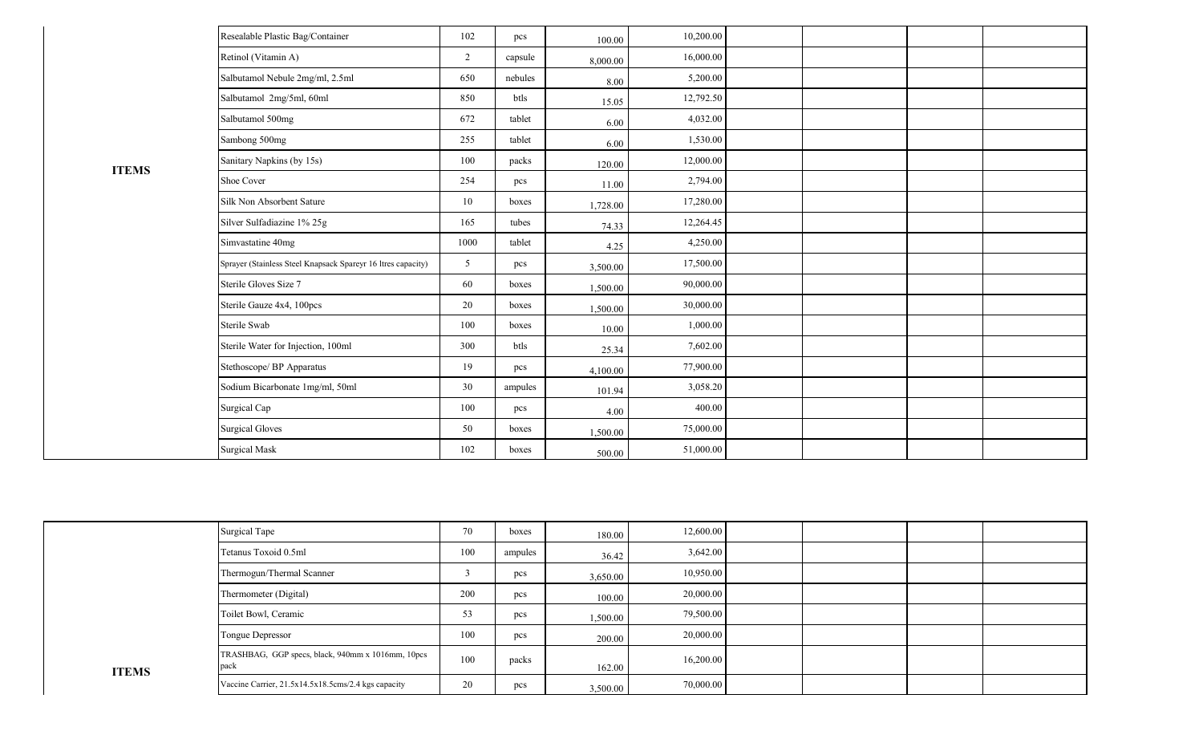|              | Resealable Plastic Bag/Container                             | 102            | pcs     | 100.00   | 10,200.00 |  |  |
|--------------|--------------------------------------------------------------|----------------|---------|----------|-----------|--|--|
|              | Retinol (Vitamin A)                                          | $\overline{2}$ | capsule | 8,000.00 | 16,000.00 |  |  |
|              | Salbutamol Nebule 2mg/ml, 2.5ml                              | 650            | nebules | 8.00     | 5,200.00  |  |  |
|              | Salbutamol 2mg/5ml, 60ml                                     | 850            | btls    | 15.05    | 12,792.50 |  |  |
|              | Salbutamol 500mg                                             | 672            | tablet  | 6.00     | 4,032.00  |  |  |
|              | Sambong 500mg                                                | 255            | tablet  | 6.00     | 1,530.00  |  |  |
| <b>ITEMS</b> | Sanitary Napkins (by 15s)                                    | 100            | packs   | 120.00   | 12,000.00 |  |  |
|              | Shoe Cover                                                   | 254            | pcs     | 11.00    | 2,794.00  |  |  |
|              | Silk Non Absorbent Sature                                    | 10             | boxes   | 1,728.00 | 17,280.00 |  |  |
|              | Silver Sulfadiazine 1% 25g                                   | 165            | tubes   | 74.33    | 12,264.45 |  |  |
|              | Simvastatine 40mg                                            | 1000           | tablet  | 4.25     | 4,250.00  |  |  |
|              | Sprayer (Stainless Steel Knapsack Spareyr 16 ltres capacity) | 5              | pcs     | 3,500.00 | 17,500.00 |  |  |
|              | Sterile Gloves Size 7                                        | 60             | boxes   | 1,500.00 | 90,000.00 |  |  |
|              | Sterile Gauze 4x4, 100pcs                                    | 20             | boxes   | 1,500.00 | 30,000.00 |  |  |
|              | Sterile Swab                                                 | 100            | boxes   | 10.00    | 1,000.00  |  |  |
|              | Sterile Water for Injection, 100ml                           | 300            | btls    | 25.34    | 7,602.00  |  |  |
|              | Stethoscope/ BP Apparatus                                    | 19             | pcs     | 4,100.00 | 77,900.00 |  |  |
|              | Sodium Bicarbonate 1mg/ml, 50ml                              | 30             | ampules | 101.94   | 3,058.20  |  |  |
|              | Surgical Cap                                                 | 100            | pcs     | 4.00     | 400.00    |  |  |
|              | <b>Surgical Gloves</b>                                       | 50             | boxes   | 1,500.00 | 75,000.00 |  |  |
|              | <b>Surgical Mask</b>                                         | 102            | boxes   | 500.00   | 51,000.00 |  |  |

|              | <b>Surgical Tape</b>                                      | 70  | boxes   | 180.00   | 12,600.00 |  |  |
|--------------|-----------------------------------------------------------|-----|---------|----------|-----------|--|--|
|              | Tetanus Toxoid 0.5ml                                      | 100 | ampules | 36.42    | 3,642.00  |  |  |
|              | Thermogun/Thermal Scanner                                 |     | pcs     | 3,650.00 | 10,950.00 |  |  |
|              | Thermometer (Digital)                                     | 200 | pcs     | 100.00   | 20,000.00 |  |  |
|              | Toilet Bowl, Ceramic                                      | 53  | pcs     | 1,500.00 | 79,500.00 |  |  |
|              | Tongue Depressor                                          | 100 | pcs     | 200.00   | 20,000.00 |  |  |
| <b>ITEMS</b> | TRASHBAG, GGP specs, black, 940mm x 1016mm, 10pcs<br>pack | 100 | packs   | 162.00   | 16,200.00 |  |  |
|              | Vaccine Carrier, 21.5x14.5x18.5cms/2.4 kgs capacity       | 20  | pcs     | 3,500.00 | 70,000.00 |  |  |